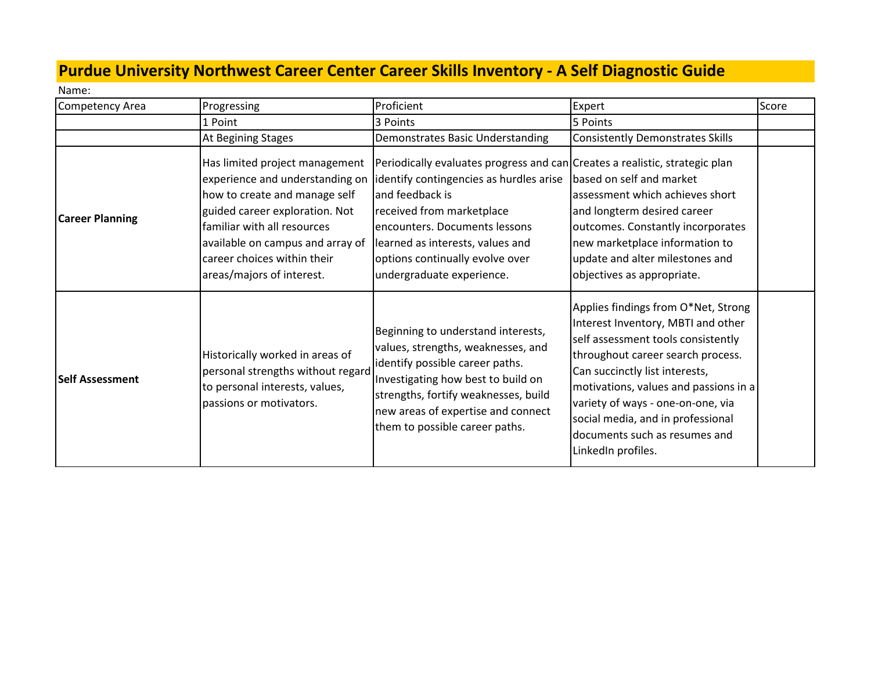## **Purdue University Northwest Career Center Career Skills Inventory - A Self Diagnostic Guide**

Name:

| Competency Area        | Progressing                                                                                                                                                                                                                                                         | Proficient                                                                                                                                                                                                                                                                                                  | Expert                                                                                                                                                                                                                                                                                                                                                           | Score |
|------------------------|---------------------------------------------------------------------------------------------------------------------------------------------------------------------------------------------------------------------------------------------------------------------|-------------------------------------------------------------------------------------------------------------------------------------------------------------------------------------------------------------------------------------------------------------------------------------------------------------|------------------------------------------------------------------------------------------------------------------------------------------------------------------------------------------------------------------------------------------------------------------------------------------------------------------------------------------------------------------|-------|
|                        | 1 Point                                                                                                                                                                                                                                                             | 3 Points                                                                                                                                                                                                                                                                                                    | 5 Points                                                                                                                                                                                                                                                                                                                                                         |       |
|                        | At Begining Stages                                                                                                                                                                                                                                                  | Demonstrates Basic Understanding                                                                                                                                                                                                                                                                            | <b>Consistently Demonstrates Skills</b>                                                                                                                                                                                                                                                                                                                          |       |
| <b>Career Planning</b> | Has limited project management<br>experience and understanding on<br>how to create and manage self<br>guided career exploration. Not<br>familiar with all resources<br>available on campus and array of<br>career choices within their<br>areas/majors of interest. | Periodically evaluates progress and can Creates a realistic, strategic plan<br>identify contingencies as hurdles arise<br>and feedback is<br>received from marketplace<br>encounters. Documents lessons<br>learned as interests, values and<br>options continually evolve over<br>undergraduate experience. | based on self and market<br>assessment which achieves short<br>and longterm desired career<br>outcomes. Constantly incorporates<br>new marketplace information to<br>update and alter milestones and<br>objectives as appropriate.                                                                                                                               |       |
| <b>Self Assessment</b> | Historically worked in areas of<br>personal strengths without regard<br>to personal interests, values,<br>passions or motivators.                                                                                                                                   | Beginning to understand interests,<br>values, strengths, weaknesses, and<br>identify possible career paths.<br>Investigating how best to build on<br>strengths, fortify weaknesses, build<br>new areas of expertise and connect<br>them to possible career paths.                                           | Applies findings from O*Net, Strong<br>Interest Inventory, MBTI and other<br>self assessment tools consistently<br>throughout career search process.<br>Can succinctly list interests,<br>motivations, values and passions in a<br>variety of ways - one-on-one, via<br>social media, and in professional<br>documents such as resumes and<br>LinkedIn profiles. |       |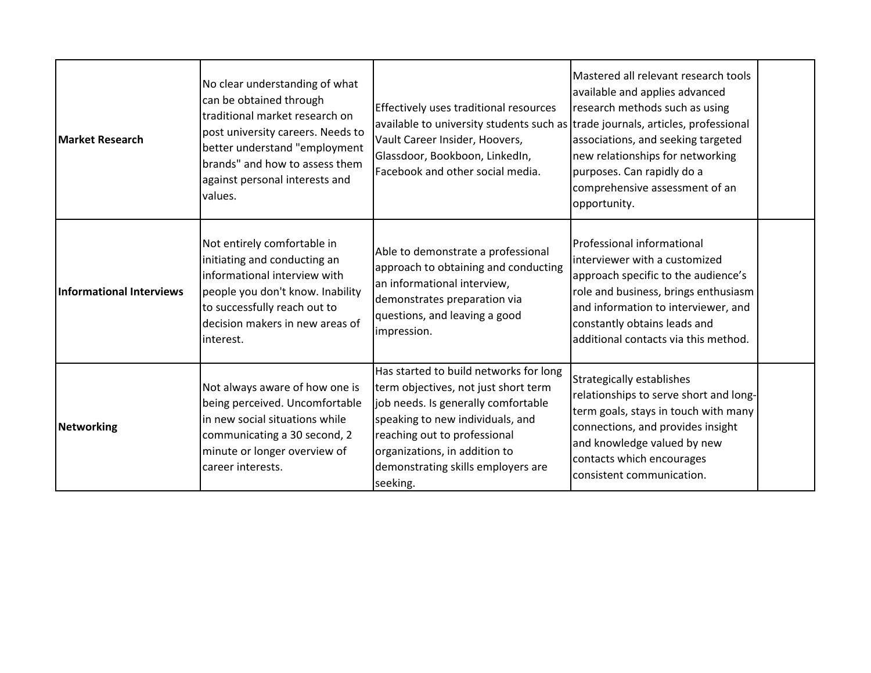| <b>Market Research</b>   | No clear understanding of what<br>can be obtained through<br>Itraditional market research on<br>post university careers. Needs to<br>better understand "employment<br>brands" and how to assess them<br>against personal interests and<br>values. | Effectively uses traditional resources<br>available to university students such as trade journals, articles, professional<br>Vault Career Insider, Hoovers,<br>Glassdoor, Bookboon, LinkedIn,<br>Facebook and other social media.                                            | Mastered all relevant research tools<br>available and applies advanced<br>research methods such as using<br>associations, and seeking targeted<br>new relationships for networking<br>purposes. Can rapidly do a<br>comprehensive assessment of an<br>opportunity. |  |
|--------------------------|---------------------------------------------------------------------------------------------------------------------------------------------------------------------------------------------------------------------------------------------------|------------------------------------------------------------------------------------------------------------------------------------------------------------------------------------------------------------------------------------------------------------------------------|--------------------------------------------------------------------------------------------------------------------------------------------------------------------------------------------------------------------------------------------------------------------|--|
| Informational Interviews | Not entirely comfortable in<br>initiating and conducting an<br>linformational interview with<br>people you don't know. Inability<br>to successfully reach out to<br>decision makers in new areas of<br>interest.                                  | Able to demonstrate a professional<br>approach to obtaining and conducting<br>an informational interview,<br>demonstrates preparation via<br>questions, and leaving a good<br>impression.                                                                                    | Professional informational<br>interviewer with a customized<br>approach specific to the audience's<br>role and business, brings enthusiasm<br>and information to interviewer, and<br>constantly obtains leads and<br>additional contacts via this method.          |  |
| Networking               | Not always aware of how one is<br>being perceived. Uncomfortable<br>in new social situations while<br>communicating a 30 second, 2<br>minute or longer overview of<br>career interests.                                                           | Has started to build networks for long<br>term objectives, not just short term<br>job needs. Is generally comfortable<br>speaking to new individuals, and<br>reaching out to professional<br>organizations, in addition to<br>demonstrating skills employers are<br>seeking. | <b>Strategically establishes</b><br>relationships to serve short and long-<br>term goals, stays in touch with many<br>connections, and provides insight<br>and knowledge valued by new<br>contacts which encourages<br>consistent communication.                   |  |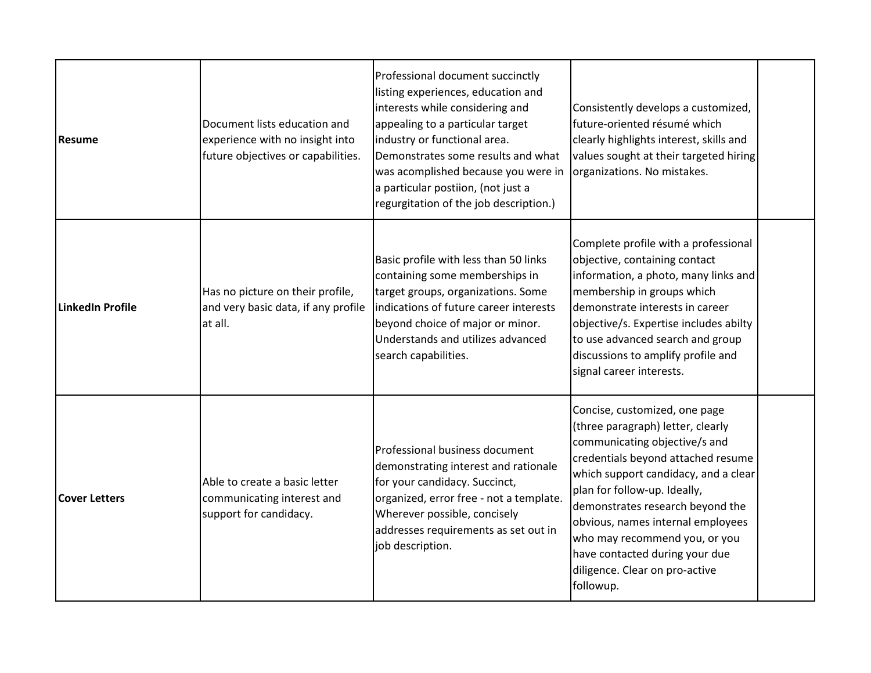| <b>Resume</b>        | Document lists education and<br>experience with no insight into<br>future objectives or capabilities. | Professional document succinctly<br>listing experiences, education and<br>interests while considering and<br>appealing to a particular target<br>industry or functional area.<br>Demonstrates some results and what<br>was acomplished because you were in<br>a particular postiion, (not just a<br>regurgitation of the job description.) | Consistently develops a customized,<br>future-oriented résumé which<br>clearly highlights interest, skills and<br>values sought at their targeted hiring<br>organizations. No mistakes.                                                                                                                                                                                                                      |  |
|----------------------|-------------------------------------------------------------------------------------------------------|--------------------------------------------------------------------------------------------------------------------------------------------------------------------------------------------------------------------------------------------------------------------------------------------------------------------------------------------|--------------------------------------------------------------------------------------------------------------------------------------------------------------------------------------------------------------------------------------------------------------------------------------------------------------------------------------------------------------------------------------------------------------|--|
| LinkedIn Profile     | Has no picture on their profile,<br>and very basic data, if any profile<br>at all.                    | Basic profile with less than 50 links<br>containing some memberships in<br>target groups, organizations. Some<br>indications of future career interests<br>beyond choice of major or minor.<br>Understands and utilizes advanced<br>search capabilities.                                                                                   | Complete profile with a professional<br>objective, containing contact<br>information, a photo, many links and<br>membership in groups which<br>demonstrate interests in career<br>objective/s. Expertise includes abilty<br>to use advanced search and group<br>discussions to amplify profile and<br>signal career interests.                                                                               |  |
| <b>Cover Letters</b> | Able to create a basic letter<br>communicating interest and<br>support for candidacy.                 | Professional business document<br>demonstrating interest and rationale<br>for your candidacy. Succinct,<br>organized, error free - not a template.<br>Wherever possible, concisely<br>addresses requirements as set out in<br>job description.                                                                                             | Concise, customized, one page<br>(three paragraph) letter, clearly<br>communicating objective/s and<br>credentials beyond attached resume<br>which support candidacy, and a clear<br>plan for follow-up. Ideally,<br>demonstrates research beyond the<br>obvious, names internal employees<br>who may recommend you, or you<br>have contacted during your due<br>diligence. Clear on pro-active<br>followup. |  |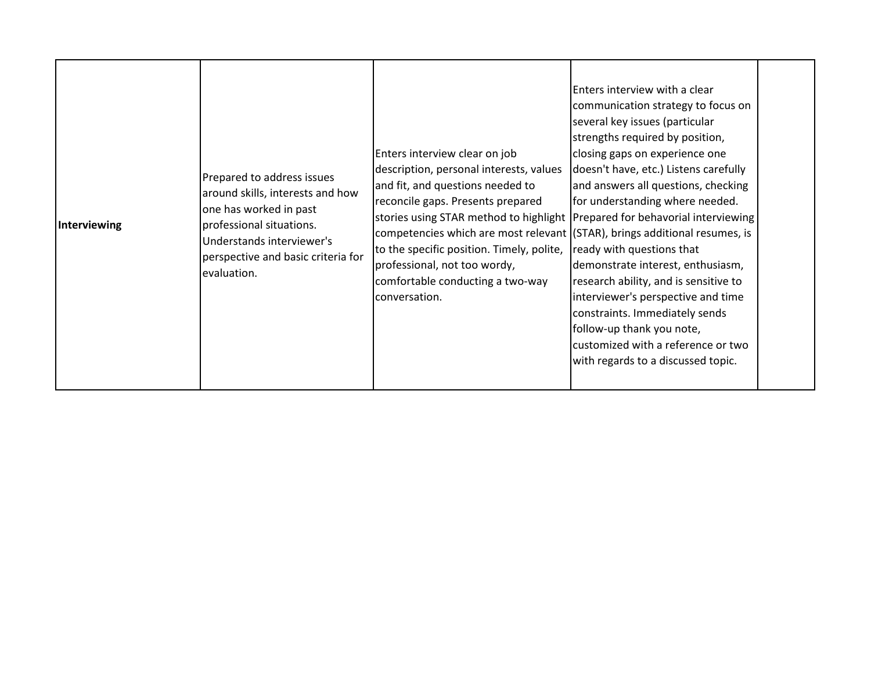| Interviewing | Prepared to address issues<br>around skills, interests and how<br>one has worked in past<br>professional situations.<br>Understands interviewer's<br>perspective and basic criteria for<br>evaluation. | Enters interview clear on job<br>description, personal interests, values<br>and fit, and questions needed to<br>reconcile gaps. Presents prepared<br>stories using STAR method to highlight Prepared for behavorial interviewing<br>competencies which are most relevant ((STAR), brings additional resumes, is<br>to the specific position. Timely, polite,<br>professional, not too wordy,<br>comfortable conducting a two-way<br>conversation. | Enters interview with a clear<br>communication strategy to focus on<br>several key issues (particular<br>strengths required by position,<br>closing gaps on experience one<br>doesn't have, etc.) Listens carefully<br>and answers all questions, checking<br>for understanding where needed.<br>ready with questions that<br>demonstrate interest, enthusiasm,<br>research ability, and is sensitive to<br>interviewer's perspective and time<br>constraints. Immediately sends<br>follow-up thank you note,<br>customized with a reference or two<br>with regards to a discussed topic. |  |
|--------------|--------------------------------------------------------------------------------------------------------------------------------------------------------------------------------------------------------|---------------------------------------------------------------------------------------------------------------------------------------------------------------------------------------------------------------------------------------------------------------------------------------------------------------------------------------------------------------------------------------------------------------------------------------------------|-------------------------------------------------------------------------------------------------------------------------------------------------------------------------------------------------------------------------------------------------------------------------------------------------------------------------------------------------------------------------------------------------------------------------------------------------------------------------------------------------------------------------------------------------------------------------------------------|--|
|--------------|--------------------------------------------------------------------------------------------------------------------------------------------------------------------------------------------------------|---------------------------------------------------------------------------------------------------------------------------------------------------------------------------------------------------------------------------------------------------------------------------------------------------------------------------------------------------------------------------------------------------------------------------------------------------|-------------------------------------------------------------------------------------------------------------------------------------------------------------------------------------------------------------------------------------------------------------------------------------------------------------------------------------------------------------------------------------------------------------------------------------------------------------------------------------------------------------------------------------------------------------------------------------------|--|